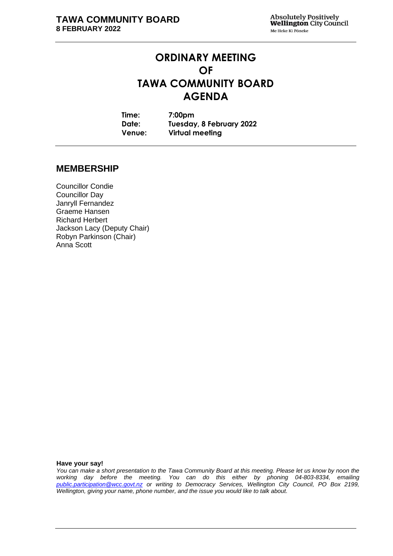# **ORDINARY MEETING OF TAWA COMMUNITY BOARD AGENDA**

**Time: 7:00pm Date: Tuesday, 8 February 2022 Venue: Virtual meeting**

# **MEMBERSHIP**

Councillor Condie Councillor Day Janryll Fernandez Graeme Hansen Richard Herbert Jackson Lacy (Deputy Chair) Robyn Parkinson (Chair) Anna Scott

**Have your say!**

*You can make a short presentation to the Tawa Community Board at this meeting. Please let us know by noon the working day before the meeting. You can do this either by phoning 04-803-8334, emailing public.participation@wcc.govt.nz or writing to Democracy Services, Wellington City Council, PO Box 2199, Wellington, giving your name, phone number, and the issue you would like to talk about.*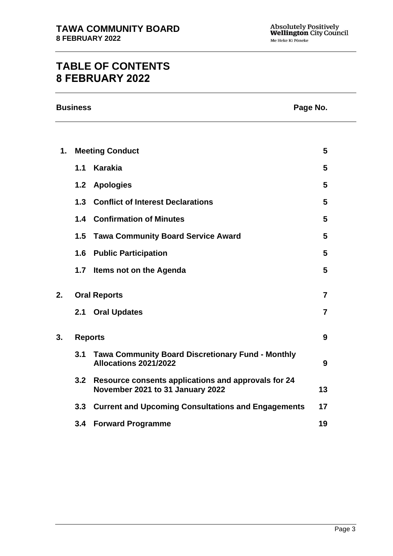# **TABLE OF CONTENTS 8 FEBRUARY 2022**

| <b>Business</b> | Page No. |
|-----------------|----------|
|-----------------|----------|

| 1. |                | <b>Meeting Conduct</b>                                                                  | 5              |
|----|----------------|-----------------------------------------------------------------------------------------|----------------|
|    | 1.1            | Karakia                                                                                 | 5              |
|    |                | 1.2 Apologies                                                                           | 5              |
|    |                | 1.3 Conflict of Interest Declarations                                                   | 5              |
|    |                | 1.4 Confirmation of Minutes                                                             | 5              |
|    | 1.5            | <b>Tawa Community Board Service Award</b>                                               | 5              |
|    |                | <b>1.6 Public Participation</b>                                                         | 5              |
|    | 1.7            | Items not on the Agenda                                                                 | 5              |
| 2. |                | <b>Oral Reports</b>                                                                     | $\overline{7}$ |
|    |                | 2.1 Oral Updates                                                                        | $\overline{7}$ |
| 3. | <b>Reports</b> |                                                                                         | 9              |
|    | 3.1            | <b>Tawa Community Board Discretionary Fund - Monthly</b><br>Allocations 2021/2022       | 9              |
|    | 3.2            | Resource consents applications and approvals for 24<br>November 2021 to 31 January 2022 | 13             |
|    |                | 3.3 Current and Upcoming Consultations and Engagements                                  | 17             |
|    |                | 3.4 Forward Programme                                                                   | 19             |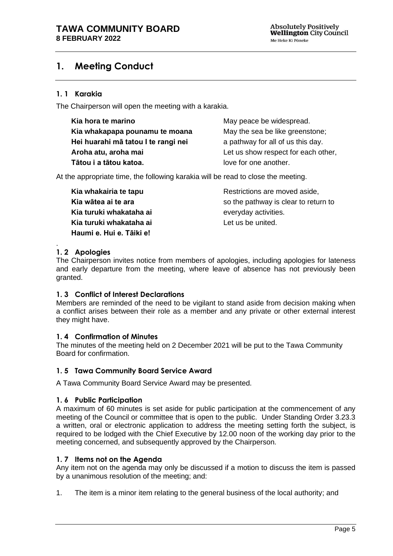# <span id="page-2-0"></span>**1. Meeting Conduct**

# **1. 1 Karakia**

The Chairperson will open the meeting with a karakia.

| Kia hora te marino                  | May peace be widespread.            |
|-------------------------------------|-------------------------------------|
| Kia whakapapa pounamu te moana      | May the sea be like greenstone;     |
| Hei huarahi mā tatou I te rangi nei | a pathway for all of us this day.   |
| Aroha atu, aroha mai                | Let us show respect for each other, |
| Tātou i a tātou katoa.              | love for one another.               |

At the appropriate time, the following karakia will be read to close the meeting.

**Kia whakairia te tapu Kia wātea ai te ara Kia turuki whakataha ai Kia turuki whakataha ai Haumi e. Hui e. Tāiki e!**

Restrictions are moved aside, so the pathway is clear to return to everyday activities. Let us be united.

widespread.

#### <span id="page-2-1"></span>. **1. 2 Apologies**

The Chairperson invites notice from members of apologies, including apologies for lateness and early departure from the meeting, where leave of absence has not previously been granted.

#### <span id="page-2-2"></span>**1. 3 Conflict of Interest Declarations**

Members are reminded of the need to be vigilant to stand aside from decision making when a conflict arises between their role as a member and any private or other external interest they might have.

#### <span id="page-2-3"></span>**1. 4 Confirmation of Minutes**

The minutes of the meeting held on 2 December 2021 will be put to the Tawa Community Board for confirmation.

#### <span id="page-2-4"></span>**1. 5 Tawa Community Board Service Award**

A Tawa Community Board Service Award may be presented.

#### <span id="page-2-6"></span>**1. 6 Public Participation**

A maximum of 60 minutes is set aside for public participation at the commencement of any meeting of the Council or committee that is open to the public. Under Standing Order 3.23.3 a written, oral or electronic application to address the meeting setting forth the subject, is required to be lodged with the Chief Executive by 12.00 noon of the working day prior to the meeting concerned, and subsequently approved by the Chairperson.

#### <span id="page-2-5"></span>**1. 7 Items not on the Agenda**

Any item not on the agenda may only be discussed if a motion to discuss the item is passed by a unanimous resolution of the meeting; and:

1. The item is a minor item relating to the general business of the local authority; and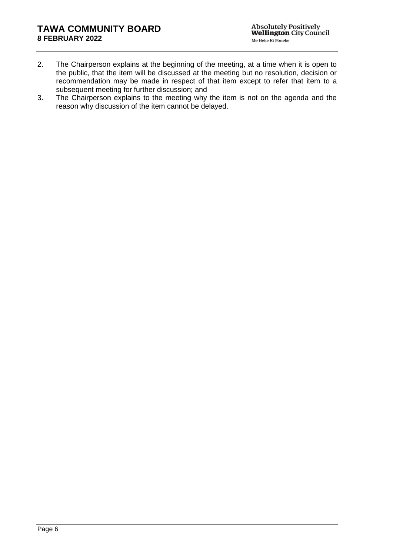- 2. The Chairperson explains at the beginning of the meeting, at a time when it is open to the public, that the item will be discussed at the meeting but no resolution, decision or recommendation may be made in respect of that item except to refer that item to a subsequent meeting for further discussion; and
- 3. The Chairperson explains to the meeting why the item is not on the agenda and the reason why discussion of the item cannot be delayed.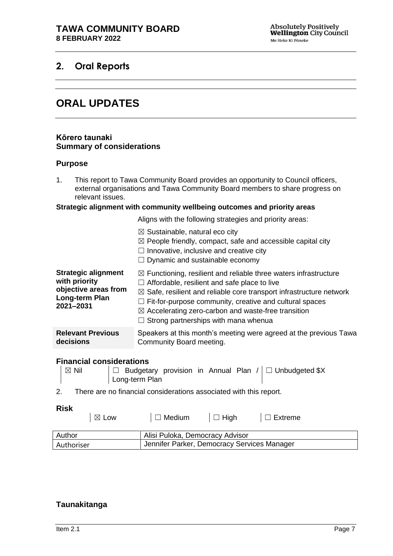# <span id="page-4-1"></span><span id="page-4-0"></span>**2. Oral Reports**

# **ORAL UPDATES**

#### **Kōrero taunaki Summary of considerations**

#### **Purpose**

1. This report to Tawa Community Board provides an opportunity to Council officers, external organisations and Tawa Community Board members to share progress on relevant issues.

#### **Strategic alignment with community wellbeing outcomes and priority areas**

Aligns with the following strategies and priority areas:

|                                                                                                    | $\boxtimes$ Sustainable, natural eco city<br>$\boxtimes$ People friendly, compact, safe and accessible capital city<br>Innovative, inclusive and creative city<br>$\Box$<br>$\Box$ Dynamic and sustainable economy                                                                                                                                                                                      |
|----------------------------------------------------------------------------------------------------|---------------------------------------------------------------------------------------------------------------------------------------------------------------------------------------------------------------------------------------------------------------------------------------------------------------------------------------------------------------------------------------------------------|
| <b>Strategic alignment</b><br>with priority<br>objective areas from<br>Long-term Plan<br>2021-2031 | $\boxtimes$ Functioning, resilient and reliable three waters infrastructure<br>$\Box$ Affordable, resilient and safe place to live<br>$\boxtimes$ Safe, resilient and reliable core transport infrastructure network<br>$\Box$ Fit-for-purpose community, creative and cultural spaces<br>$\boxtimes$ Accelerating zero-carbon and waste-free transition<br>$\Box$ Strong partnerships with mana whenua |
| <b>Relevant Previous</b><br>decisions                                                              | Speakers at this month's meeting were agreed at the previous Tawa<br>Community Board meeting.                                                                                                                                                                                                                                                                                                           |

#### **Financial considerations**

- $\boxtimes$  Nil  $\Box$  Budgetary provision in Annual Plan /  $\Box$  Unbudgeted \$X Long-term Plan
- 2. There are no financial considerations associated with this report.

Authoriser Jennifer Parker, Democracy Services Manager

#### **Risk**

|        | $\boxtimes$ Low | Medium                          | コ High | Extreme |
|--------|-----------------|---------------------------------|--------|---------|
| Author |                 | Alisi Puloka, Democracy Advisor |        |         |

 $\mathbb{R}^2$ 

# **Taunakitanga**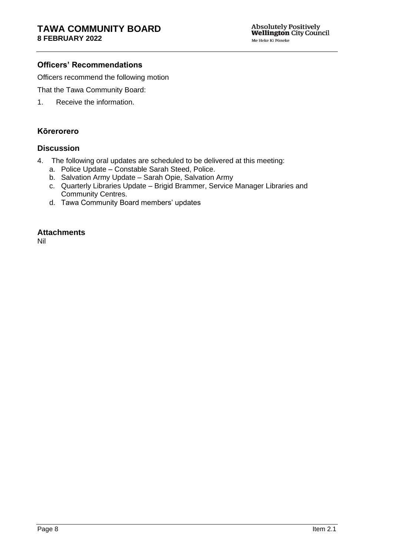# **Officers' Recommendations**

Officers recommend the following motion

That the Tawa Community Board:

1. Receive the information.

### **Kōrerorero**

# **Discussion**

- 4. The following oral updates are scheduled to be delivered at this meeting:
	- a. Police Update Constable Sarah Steed, Police.
	- b. Salvation Army Update Sarah Opie, Salvation Army
	- c. Quarterly Libraries Update Brigid Brammer, Service Manager Libraries and Community Centres.
	- d. Tawa Community Board members' updates

### **Attachments**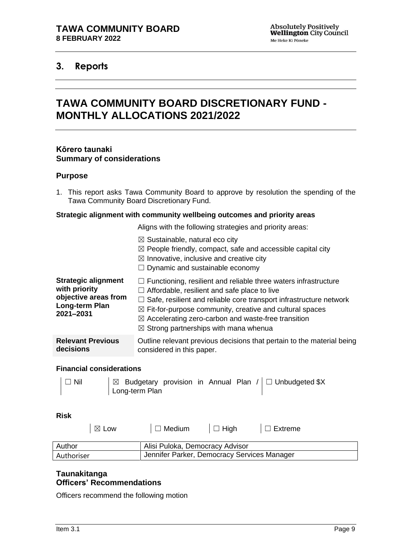# <span id="page-6-1"></span><span id="page-6-0"></span>**3. Reports**

# **TAWA COMMUNITY BOARD DISCRETIONARY FUND - MONTHLY ALLOCATIONS 2021/2022**

#### **Kōrero taunaki Summary of considerations**

#### **Purpose**

1. This report asks Tawa Community Board to approve by resolution the spending of the Tawa Community Board Discretionary Fund.

#### **Strategic alignment with community wellbeing outcomes and priority areas**

|  |  | Aligns with the following strategies and priority areas: |  |  |
|--|--|----------------------------------------------------------|--|--|
|  |  |                                                          |  |  |

 $\boxtimes$  Sustainable, natural eco city  $\boxtimes$  People friendly, compact, safe and accessible capital city  $\boxtimes$  Innovative, inclusive and creative city  $\Box$  Dynamic and sustainable economy **Strategic alignment with priority objective areas from Long-term Plan 2021–2031**   $\Box$  Functioning, resilient and reliable three waters infrastructure  $\Box$  Affordable, resilient and safe place to live  $\Box$  Safe, resilient and reliable core transport infrastructure network  $\boxtimes$  Fit-for-purpose community, creative and cultural spaces ☒ Accelerating zero-carbon and waste-free transition  $\boxtimes$  Strong partnerships with mana whenua **Relevant Previous decisions** Outline relevant previous decisions that pertain to the material being considered in this paper.

#### **Financial considerations**

| $\Box$ Nil |                |  |  | $\Box$ Budgetary provision in Annual Plan / $\Box$ Unbudgeted \$X |
|------------|----------------|--|--|-------------------------------------------------------------------|
|            | Long-term Plan |  |  |                                                                   |

#### **Risk**

| $\boxtimes$ Low | $\Box$ Medium                               | $\Box$ High | $\Box$ Extreme |  |  |
|-----------------|---------------------------------------------|-------------|----------------|--|--|
| Author          | Alisi Puloka, Democracy Advisor             |             |                |  |  |
| Authoriser      | Jennifer Parker, Democracy Services Manager |             |                |  |  |

# **Taunakitanga Officers' Recommendations**

Officers recommend the following motion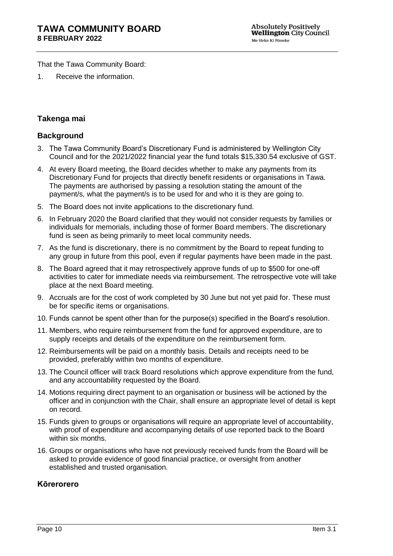That the Tawa Community Board:

1. Receive the information.

# **Takenga mai**

# **Background**

- 3. The Tawa Community Board's Discretionary Fund is administered by Wellington City Council and for the 2021/2022 financial year the fund totals \$15,330.54 exclusive of GST.
- 4. At every Board meeting, the Board decides whether to make any payments from its Discretionary Fund for projects that directly benefit residents or organisations in Tawa. The payments are authorised by passing a resolution stating the amount of the payment/s, what the payment/s is to be used for and who it is they are going to.
- 5. The Board does not invite applications to the discretionary fund.
- 6. In February 2020 the Board clarified that they would not consider requests by families or individuals for memorials, including those of former Board members. The discretionary fund is seen as being primarily to meet local community needs.
- 7. As the fund is discretionary, there is no commitment by the Board to repeat funding to any group in future from this pool, even if regular payments have been made in the past.
- 8. The Board agreed that it may retrospectively approve funds of up to \$500 for one-off activities to cater for immediate needs via reimbursement. The retrospective vote will take place at the next Board meeting.
- 9. Accruals are for the cost of work completed by 30 June but not yet paid for. These must be for specific items or organisations.
- 10. Funds cannot be spent other than for the purpose(s) specified in the Board's resolution.
- 11. Members, who require reimbursement from the fund for approved expenditure, are to supply receipts and details of the expenditure on the reimbursement form.
- 12. Reimbursements will be paid on a monthly basis. Details and receipts need to be provided, preferably within two months of expenditure.
- 13. The Council officer will track Board resolutions which approve expenditure from the fund, and any accountability requested by the Board.
- 14. Motions requiring direct payment to an organisation or business will be actioned by the officer and in conjunction with the Chair, shall ensure an appropriate level of detail is kept on record.
- 15. Funds given to groups or organisations will require an appropriate level of accountability, with proof of expenditure and accompanying details of use reported back to the Board within six months.
- 16. Groups or organisations who have not previously received funds from the Board will be asked to provide evidence of good financial practice, or oversight from another established and trusted organisation.

# **Kōrerorero**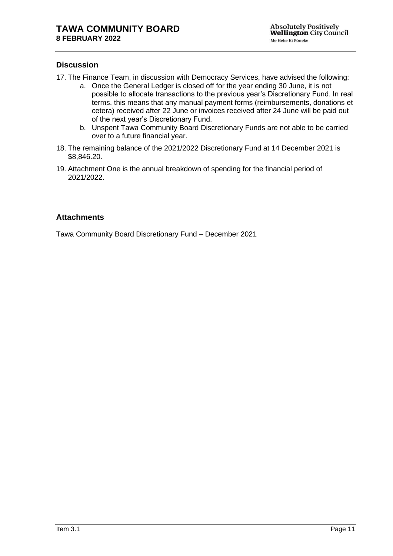## **Discussion**

- 17. The Finance Team, in discussion with Democracy Services, have advised the following:
	- a. Once the General Ledger is closed off for the year ending 30 June, it is not possible to allocate transactions to the previous year's Discretionary Fund. In real terms, this means that any manual payment forms (reimbursements, donations et cetera) received after 22 June or invoices received after 24 June will be paid out of the next year's Discretionary Fund.
	- b. Unspent Tawa Community Board Discretionary Funds are not able to be carried over to a future financial year.
- 18. The remaining balance of the 2021/2022 Discretionary Fund at 14 December 2021 is \$8,846.20.
- 19. Attachment One is the annual breakdown of spending for the financial period of 2021/2022.

### **Attachments**

Tawa Community Board Discretionary Fund – December 2021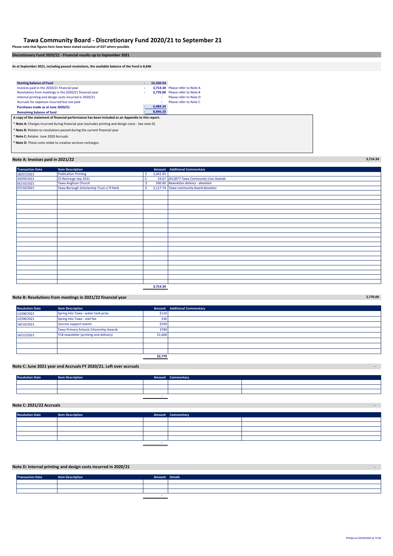#### **Tawa Community Board - Discretionary Fund 2020/21 to September 21**

**Please note that figures here have been stated exclusive of GST where possible. Discretionary Fund 2020/21 - Financial results up to September 2021**

**As at September 2021, including passed resolutions, the available balance of the Fund is 8,846**

| <b>Starting balance of Fund</b>                                                                    | ٠ | 15.330.54 |                                 |  |  |
|----------------------------------------------------------------------------------------------------|---|-----------|---------------------------------|--|--|
| Invoices paid in the 2020/21 financial year                                                        |   |           | 3,714.34 Please refer to Note A |  |  |
| Resolutions from meetings in the 2020/21 financial year                                            | ٠ |           | 2.770.00 Please refer to Note B |  |  |
| Internal printing and design costs incurred in 2020/21                                             |   | ٠         | Please refer to Note D          |  |  |
| Accruals for expenses incurred but not paid                                                        |   | ٠         | Please refer to Note C.         |  |  |
| Purchases made as at June 2020/21                                                                  |   | 6.484.34  |                                 |  |  |
| <b>Remaining balance of fund</b>                                                                   |   | 8,846.20  |                                 |  |  |
| A copy of the statement of financial performance has been included as an Appendix to this report.  |   |           |                                 |  |  |
| * Note A: Charges incurred during financial year (excludes printing and design costs - See note D) |   |           |                                 |  |  |
| * Note B: Relates to resolutions passed during the current financial year                          |   |           |                                 |  |  |

\* **Note C:** Relates June 2020 Accruals.

**\* Note D:** These costs relate to creative services recharges.

#### **Note A: Invoices paid in 2021/22 3,714.34**

| <b>Transaction Date</b> | <b>Item Description</b>                  |    |          | Amount Additional Commentary              |
|-------------------------|------------------------------------------|----|----------|-------------------------------------------|
| 28/07/2021              | <b>Publication Printing</b>              | -Ś | 1,041.93 |                                           |
| 30/09/2021              | CS Recharge Sep 2021                     |    |          | 54.67 J012877 Tawa Community Civic Awards |
| 05/10/2021              | <b>Tawa Anglican Church</b>              |    |          | 500.00 Newsletter delivery - donation     |
| 07/10/2021              | Tawa Borough Scholarship Trust c/ R Herb |    |          | 2,117.74 Tawa community board donation    |
|                         |                                          |    |          |                                           |
|                         |                                          |    |          |                                           |
|                         |                                          |    |          |                                           |
|                         |                                          |    |          |                                           |
|                         |                                          |    |          |                                           |
|                         |                                          |    |          |                                           |
|                         |                                          |    |          |                                           |
|                         |                                          |    |          |                                           |
|                         |                                          |    |          |                                           |
|                         |                                          |    |          |                                           |
|                         |                                          |    |          |                                           |
|                         |                                          |    |          |                                           |
|                         |                                          |    |          |                                           |
|                         |                                          |    |          |                                           |
|                         |                                          |    |          |                                           |
|                         |                                          |    |          |                                           |
|                         |                                          |    |          |                                           |
|                         |                                          |    |          |                                           |
|                         |                                          |    |          |                                           |
|                         |                                          |    |          |                                           |
|                         |                                          |    | 3,714.34 |                                           |

#### **Note B: Resolutions from meetings in 2021/22 financial year 2,770.00**

| <b>Resolution Date</b> | <b>Item Description</b>                 |         | <b>Amount</b> Additional Commentary |
|------------------------|-----------------------------------------|---------|-------------------------------------|
| 12/08/2021             | Spring into Tawa - water tank prize     | \$110   |                                     |
| 12/08/2021             | Spring into Tawa - stall fee            | \$30    |                                     |
| 18/10/2021             | Vaccine support events                  | \$250   |                                     |
|                        | Tawa Primary Schools Citizenship Awards | \$780   |                                     |
| 14/12/2021             | TCB newsletter (printing and delivery)  | \$1,600 |                                     |
|                        |                                         |         |                                     |
|                        |                                         |         |                                     |
|                        |                                         |         |                                     |
|                        |                                         | \$2,770 |                                     |

#### **Note C: June 2021 year end Accruals FY 2020/21. Left over accruals -**

| <b>Resolution Date</b> | <b>Item Description</b> | <b>Amount Commentary</b> |  |
|------------------------|-------------------------|--------------------------|--|
|                        |                         |                          |  |
|                        |                         |                          |  |
|                        |                         |                          |  |
|                        |                         |                          |  |

#### **Note C: 2021/22 Accruals -**

| <b>Resolution Date</b> | <b>Item Description</b> | Amount Commentary |  |
|------------------------|-------------------------|-------------------|--|
|                        |                         |                   |  |
|                        |                         |                   |  |
|                        |                         |                   |  |
|                        |                         |                   |  |
|                        |                         |                   |  |
|                        |                         |                   |  |

#### **Note D: Internal printing and design costs incurred in 2020/21 -**

| <b>Transaction Date</b> | <b>Item Description</b> | Amount Details |  |
|-------------------------|-------------------------|----------------|--|
|                         |                         |                |  |
|                         |                         |                |  |
|                         |                         |                |  |
|                         |                         |                |  |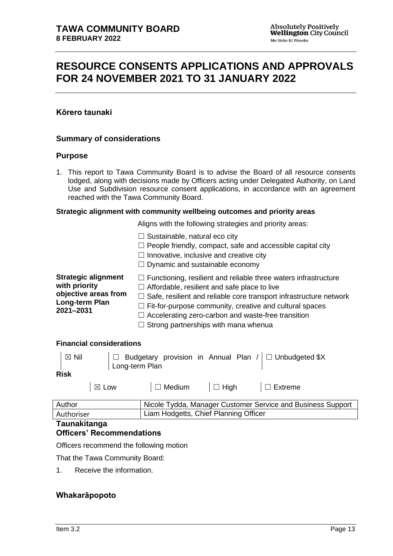# <span id="page-10-0"></span>**RESOURCE CONSENTS APPLICATIONS AND APPROVALS FOR 24 NOVEMBER 2021 TO 31 JANUARY 2022**

# **Kōrero taunaki**

### **Summary of considerations**

#### **Purpose**

1. This report to Tawa Community Board is to advise the Board of all resource consents lodged, along with decisions made by Officers acting under Delegated Authority, on Land Use and Subdivision resource consent applications, in accordance with an agreement reached with the Tawa Community Board.

#### **Strategic alignment with community wellbeing outcomes and priority areas**

Aligns with the following strategies and priority areas:

|                            | $\Box$ Sustainable, natural eco city<br>$\Box$ People friendly, compact, safe and accessible capital city<br>$\Box$ Innovative, inclusive and creative city<br>$\Box$ Dynamic and sustainable economy |
|----------------------------|-------------------------------------------------------------------------------------------------------------------------------------------------------------------------------------------------------|
| <b>Strategic alignment</b> | $\Box$ Functioning, resilient and reliable three waters infrastructure                                                                                                                                |
| with priority              | $\Box$ Affordable, resilient and safe place to live                                                                                                                                                   |
| objective areas from       | $\Box$ Safe, resilient and reliable core transport infrastructure network                                                                                                                             |
| Long-term Plan             | $\Box$ Fit-for-purpose community, creative and cultural spaces                                                                                                                                        |
| 2021-2031                  | $\Box$ Accelerating zero-carbon and waste-free transition                                                                                                                                             |

 $\Box$  Strong partnerships with mana whenua

### **Financial considerations**

| $\boxtimes$ Nil | Long-term Plan  |                           |  | $\Box$ Budgetary provision in Annual Plan / $\Box$ Unbudgeted \$X |
|-----------------|-----------------|---------------------------|--|-------------------------------------------------------------------|
| <b>Risk</b>     |                 |                           |  |                                                                   |
|                 | $\boxtimes$ Low | $\Box$ Medium $\Box$ High |  | $\Box$ Extreme                                                    |

| Author     | Nicole Tydda, Manager Customer Service and Business Support |
|------------|-------------------------------------------------------------|
| Authoriser | Liam Hodgetts, Chief Planning Officer                       |
|            |                                                             |

#### **Taunakitanga**

# **Officers' Recommendations**

Officers recommend the following motion

That the Tawa Community Board:

1. Receive the information.

# **Whakarāpopoto**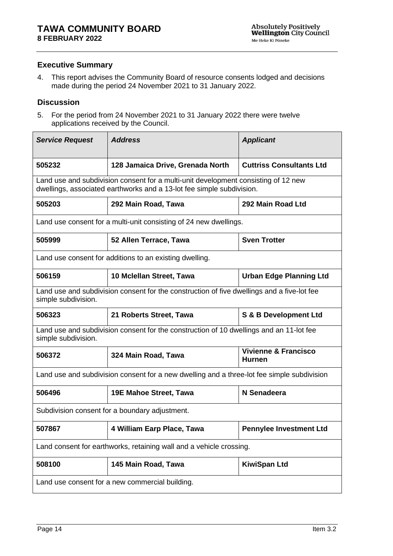# **Executive Summary**

4. This report advises the Community Board of resource consents lodged and decisions made during the period 24 November 2021 to 31 January 2022.

# **Discussion**

5. For the period from 24 November 2021 to 31 January 2022 there were twelve applications received by the Council.

| <b>Service Request</b>                          | <b>Address</b>                                                                                                                                              | <b>Applicant</b>                                 |  |  |
|-------------------------------------------------|-------------------------------------------------------------------------------------------------------------------------------------------------------------|--------------------------------------------------|--|--|
| 505232                                          | 128 Jamaica Drive, Grenada North                                                                                                                            | <b>Cuttriss Consultants Ltd</b>                  |  |  |
|                                                 | Land use and subdivision consent for a multi-unit development consisting of 12 new<br>dwellings, associated earthworks and a 13-lot fee simple subdivision. |                                                  |  |  |
| 505203                                          | 292 Main Road, Tawa                                                                                                                                         | 292 Main Road Ltd                                |  |  |
|                                                 | Land use consent for a multi-unit consisting of 24 new dwellings.                                                                                           |                                                  |  |  |
| 505999                                          | 52 Allen Terrace, Tawa                                                                                                                                      | <b>Sven Trotter</b>                              |  |  |
|                                                 | Land use consent for additions to an existing dwelling.                                                                                                     |                                                  |  |  |
| 506159                                          | 10 Mclellan Street, Tawa                                                                                                                                    | <b>Urban Edge Planning Ltd</b>                   |  |  |
| simple subdivision.                             | Land use and subdivision consent for the construction of five dwellings and a five-lot fee                                                                  |                                                  |  |  |
| 506323                                          | S & B Development Ltd<br>21 Roberts Street, Tawa                                                                                                            |                                                  |  |  |
| simple subdivision.                             | Land use and subdivision consent for the construction of 10 dwellings and an 11-lot fee                                                                     |                                                  |  |  |
| 506372                                          | 324 Main Road, Tawa                                                                                                                                         | <b>Vivienne &amp; Francisco</b><br><b>Hurnen</b> |  |  |
|                                                 | Land use and subdivision consent for a new dwelling and a three-lot fee simple subdivision                                                                  |                                                  |  |  |
| 506496                                          | <b>19E Mahoe Street, Tawa</b>                                                                                                                               | N Senadeera                                      |  |  |
|                                                 | Subdivision consent for a boundary adjustment.                                                                                                              |                                                  |  |  |
| 507867                                          | 4 William Earp Place, Tawa                                                                                                                                  | <b>Pennylee Investment Ltd</b>                   |  |  |
|                                                 | Land consent for earthworks, retaining wall and a vehicle crossing.                                                                                         |                                                  |  |  |
| 508100                                          | 145 Main Road, Tawa<br><b>KiwiSpan Ltd</b>                                                                                                                  |                                                  |  |  |
| Land use consent for a new commercial building. |                                                                                                                                                             |                                                  |  |  |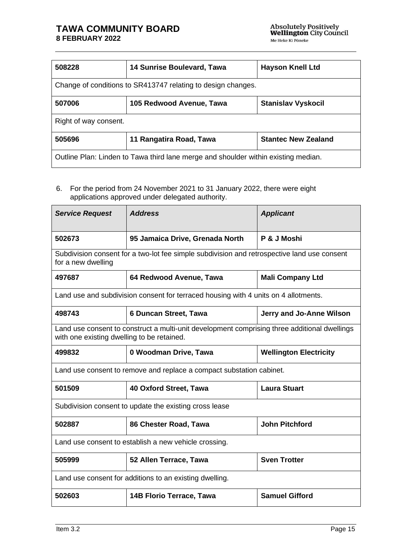# **TAWA COMMUNITY BOARD 8 FEBRUARY 2022**

| 508228                                                                             | <b>14 Sunrise Boulevard, Tawa</b><br><b>Hayson Knell Ltd</b> |                            |  |
|------------------------------------------------------------------------------------|--------------------------------------------------------------|----------------------------|--|
| Change of conditions to SR413747 relating to design changes.                       |                                                              |                            |  |
| 507006                                                                             | 105 Redwood Avenue, Tawa                                     | <b>Stanislav Vyskocil</b>  |  |
| Right of way consent.                                                              |                                                              |                            |  |
| 505696                                                                             | 11 Rangatira Road, Tawa                                      | <b>Stantec New Zealand</b> |  |
| Outline Plan: Linden to Tawa third lane merge and shoulder within existing median. |                                                              |                            |  |

6. For the period from 24 November 2021 to 31 January 2022, there were eight applications approved under delegated authority.

| <b>Service Request</b> | <b>Address</b>                                                                                                                             | <b>Applicant</b>              |  |  |
|------------------------|--------------------------------------------------------------------------------------------------------------------------------------------|-------------------------------|--|--|
| 502673                 | 95 Jamaica Drive, Grenada North                                                                                                            | P & J Moshi                   |  |  |
| for a new dwelling     | Subdivision consent for a two-lot fee simple subdivision and retrospective land use consent                                                |                               |  |  |
| 497687                 | 64 Redwood Avenue, Tawa                                                                                                                    | <b>Mali Company Ltd</b>       |  |  |
|                        | Land use and subdivision consent for terraced housing with 4 units on 4 allotments.                                                        |                               |  |  |
| 498743                 | 6 Duncan Street, Tawa                                                                                                                      | Jerry and Jo-Anne Wilson      |  |  |
|                        | Land use consent to construct a multi-unit development comprising three additional dwellings<br>with one existing dwelling to be retained. |                               |  |  |
| 499832                 | 0 Woodman Drive, Tawa                                                                                                                      | <b>Wellington Electricity</b> |  |  |
|                        | Land use consent to remove and replace a compact substation cabinet.                                                                       |                               |  |  |
| 501509                 | 40 Oxford Street, Tawa                                                                                                                     | <b>Laura Stuart</b>           |  |  |
|                        | Subdivision consent to update the existing cross lease                                                                                     |                               |  |  |
| 502887                 | 86 Chester Road, Tawa                                                                                                                      | <b>John Pitchford</b>         |  |  |
|                        | Land use consent to establish a new vehicle crossing.                                                                                      |                               |  |  |
| 505999                 | <b>Sven Trotter</b><br>52 Allen Terrace, Tawa                                                                                              |                               |  |  |
|                        | Land use consent for additions to an existing dwelling.                                                                                    |                               |  |  |
| 502603                 | <b>14B Florio Terrace, Tawa</b>                                                                                                            | <b>Samuel Gifford</b>         |  |  |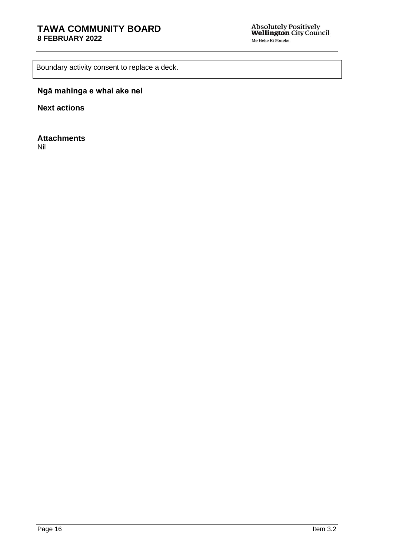Boundary activity consent to replace a deck.

# **Ngā mahinga e whai ake nei**

**Next actions**

**Attachments**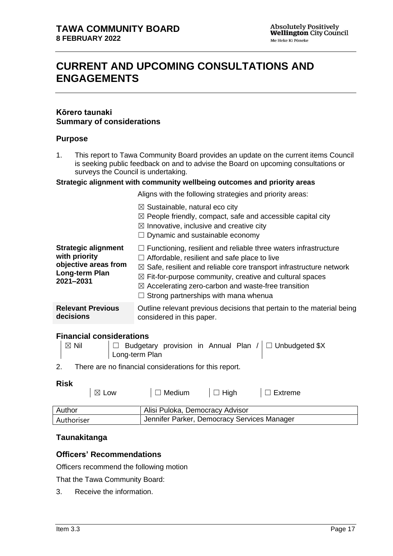# <span id="page-14-0"></span>**CURRENT AND UPCOMING CONSULTATIONS AND ENGAGEMENTS**

### **Kōrero taunaki Summary of considerations**

### **Purpose**

1. This report to Tawa Community Board provides an update on the current items Council is seeking public feedback on and to advise the Board on upcoming consultations or surveys the Council is undertaking.

#### **Strategic alignment with community wellbeing outcomes and priority areas**

Aligns with the following strategies and priority areas:

|                                                                                                    | $\boxtimes$ Sustainable, natural eco city<br>$\boxtimes$ People friendly, compact, safe and accessible capital city<br>$\boxtimes$ Innovative, inclusive and creative city<br>$\Box$ Dynamic and sustainable economy                                                                                                                                                                             |
|----------------------------------------------------------------------------------------------------|--------------------------------------------------------------------------------------------------------------------------------------------------------------------------------------------------------------------------------------------------------------------------------------------------------------------------------------------------------------------------------------------------|
| <b>Strategic alignment</b><br>with priority<br>objective areas from<br>Long-term Plan<br>2021-2031 | $\Box$ Functioning, resilient and reliable three waters infrastructure<br>Affordable, resilient and safe place to live<br>$\boxtimes$ Safe, resilient and reliable core transport infrastructure network<br>$\boxtimes$ Fit-for-purpose community, creative and cultural spaces<br>$\boxtimes$ Accelerating zero-carbon and waste-free transition<br>$\Box$ Strong partnerships with mana whenua |
| <b>Relevant Previous</b><br>decisions                                                              | Outline relevant previous decisions that pertain to the material being<br>considered in this paper.                                                                                                                                                                                                                                                                                              |

#### **Financial considerations**

| $\overline{\mathbb{Z}}$ Nil | $ \Box$ Budgetary provision in Annual Plan / $\Box$ Unbudgeted \$X |
|-----------------------------|--------------------------------------------------------------------|
|                             | Long-term Plan                                                     |

2. There are no financial considerations for this report.

#### **Risk**

|            | $\boxtimes$ Low | $\Box$ Medium                               | $\Box$ High | $\Box$ Extreme |  |
|------------|-----------------|---------------------------------------------|-------------|----------------|--|
| Author     |                 | Alisi Puloka, Democracy Advisor             |             |                |  |
| Authoriser |                 | Jennifer Parker, Democracy Services Manager |             |                |  |

#### **Taunakitanga**

#### **Officers' Recommendations**

Officers recommend the following motion

That the Tawa Community Board:

3. Receive the information.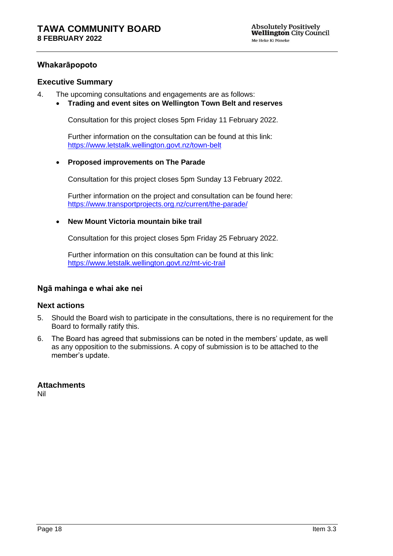## **Whakarāpopoto**

#### **Executive Summary**

- 4. The upcoming consultations and engagements are as follows:
	- **Trading and event sites on Wellington Town Belt and reserves**

Consultation for this project closes 5pm Friday 11 February 2022.

Further information on the consultation can be found at this link: <https://www.letstalk.wellington.govt.nz/town-belt>

#### • **Proposed improvements on The Parade**

Consultation for this project closes 5pm Sunday 13 February 2022.

Further information on the project and consultation can be found here: <https://www.transportprojects.org.nz/current/the-parade/>

#### • **New Mount Victoria mountain bike trail**

Consultation for this project closes 5pm Friday 25 February 2022.

Further information on this consultation can be found at this link: <https://www.letstalk.wellington.govt.nz/mt-vic-trail>

#### **Ngā mahinga e whai ake nei**

#### **Next actions**

- 5. Should the Board wish to participate in the consultations, there is no requirement for the Board to formally ratify this.
- 6. The Board has agreed that submissions can be noted in the members' update, as well as any opposition to the submissions. A copy of submission is to be attached to the member's update.

#### **Attachments**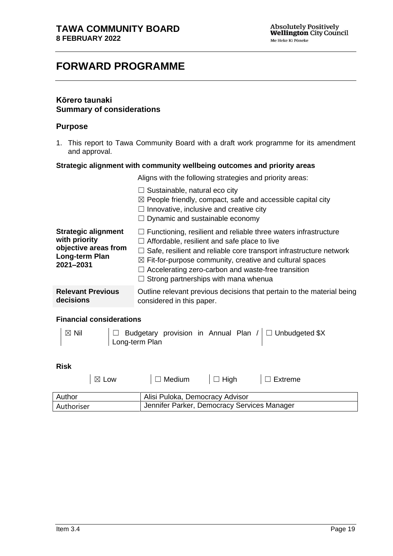# <span id="page-16-0"></span>**FORWARD PROGRAMME**

# **Kōrero taunaki Summary of considerations**

#### **Purpose**

1. This report to Tawa Community Board with a draft work programme for its amendment and approval.

#### **Strategic alignment with community wellbeing outcomes and priority areas**

Aligns with the following strategies and priority areas:

|                                                                                                    | $\Box$ Sustainable, natural eco city<br>$\boxtimes$ People friendly, compact, safe and accessible capital city<br>$\Box$ Innovative, inclusive and creative city<br>$\Box$ Dynamic and sustainable economy                                                                                                                                                                                    |
|----------------------------------------------------------------------------------------------------|-----------------------------------------------------------------------------------------------------------------------------------------------------------------------------------------------------------------------------------------------------------------------------------------------------------------------------------------------------------------------------------------------|
| <b>Strategic alignment</b><br>with priority<br>objective areas from<br>Long-term Plan<br>2021-2031 | $\Box$ Functioning, resilient and reliable three waters infrastructure<br>$\Box$ Affordable, resilient and safe place to live<br>$\Box$ Safe, resilient and reliable core transport infrastructure network<br>$\boxtimes$ Fit-for-purpose community, creative and cultural spaces<br>$\Box$ Accelerating zero-carbon and waste-free transition<br>$\Box$ Strong partnerships with mana whenua |
| <b>Relevant Previous</b><br>decisions                                                              | Outline relevant previous decisions that pertain to the material being<br>considered in this paper.                                                                                                                                                                                                                                                                                           |

#### **Financial considerations**

| $\boxtimes$ Nil | $ \Box$ Budgetary provision in Annual Plan / $\square$ Unbudgeted \$X |
|-----------------|-----------------------------------------------------------------------|
|                 | Long-term Plan                                                        |

### **Risk**

| $\boxtimes$ Low | $\Box$ Medium                               | $\vert \Box$ High | $\Box$ Extreme |  |
|-----------------|---------------------------------------------|-------------------|----------------|--|
| Author          | Alisi Puloka, Democracy Advisor             |                   |                |  |
| Authoriser      | Jennifer Parker, Democracy Services Manager |                   |                |  |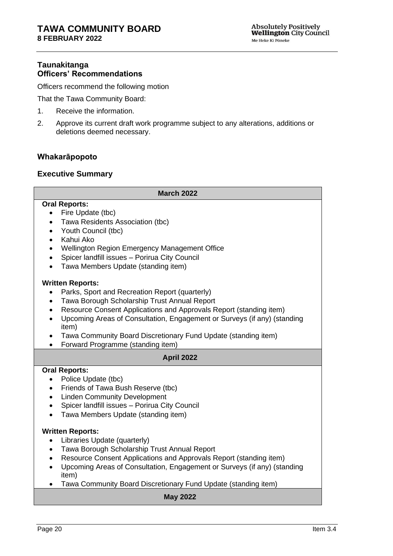# **Taunakitanga Officers' Recommendations**

Officers recommend the following motion

That the Tawa Community Board:

- 1. Receive the information.
- 2. Approve its current draft work programme subject to any alterations, additions or deletions deemed necessary.

# **Whakarāpopoto**

# **Executive Summary**

| <b>March 2022</b>                                                                                                                                                                                                                                                                                                                                                                                                                                                         |  |  |  |  |
|---------------------------------------------------------------------------------------------------------------------------------------------------------------------------------------------------------------------------------------------------------------------------------------------------------------------------------------------------------------------------------------------------------------------------------------------------------------------------|--|--|--|--|
| <b>Oral Reports:</b><br>Fire Update (tbc)<br>$\bullet$<br>Tawa Residents Association (tbc)<br>$\bullet$<br>Youth Council (tbc)<br>$\bullet$<br>Kahui Ako<br>$\bullet$<br>Wellington Region Emergency Management Office<br>$\bullet$<br>Spicer landfill issues - Porirua City Council<br>$\bullet$<br>Tawa Members Update (standing item)<br>$\bullet$                                                                                                                     |  |  |  |  |
| <b>Written Reports:</b><br>Parks, Sport and Recreation Report (quarterly)<br>$\bullet$<br>Tawa Borough Scholarship Trust Annual Report<br>$\bullet$<br>Resource Consent Applications and Approvals Report (standing item)<br>$\bullet$<br>Upcoming Areas of Consultation, Engagement or Surveys (if any) (standing<br>$\bullet$<br>item)<br>Tawa Community Board Discretionary Fund Update (standing item)<br>$\bullet$<br>Forward Programme (standing item)<br>$\bullet$ |  |  |  |  |
| <b>April 2022</b>                                                                                                                                                                                                                                                                                                                                                                                                                                                         |  |  |  |  |
| <b>Oral Reports:</b><br>Police Update (tbc)<br>$\bullet$<br>Friends of Tawa Bush Reserve (tbc)<br>$\bullet$<br><b>Linden Community Development</b><br>$\bullet$<br>Spicer landfill issues - Porirua City Council<br>$\bullet$<br>Tawa Members Update (standing item)<br>$\bullet$                                                                                                                                                                                         |  |  |  |  |
| <b>Written Reports:</b><br>Libraries Update (quarterly)<br>$\bullet$<br>Tawa Borough Scholarship Trust Annual Report<br>$\bullet$<br>Resource Consent Applications and Approvals Report (standing item)<br>$\bullet$<br>Upcoming Areas of Consultation, Engagement or Surveys (if any) (standing<br>$\bullet$<br>item)<br>Tawa Community Board Discretionary Fund Update (standing item)                                                                                  |  |  |  |  |
| <b>May 2022</b>                                                                                                                                                                                                                                                                                                                                                                                                                                                           |  |  |  |  |